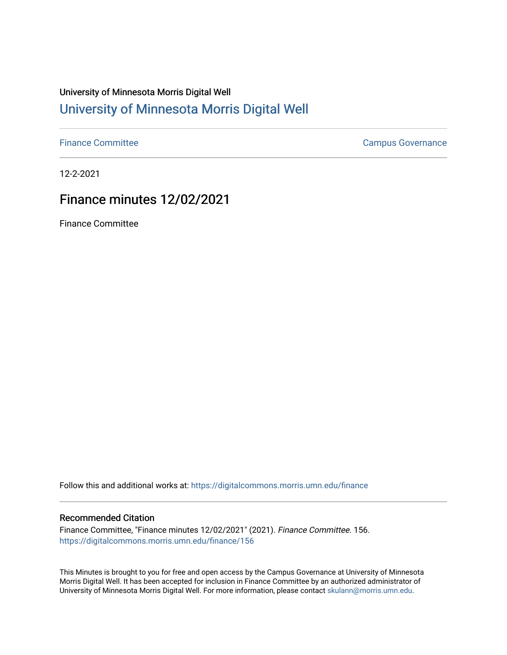# University of Minnesota Morris Digital Well [University of Minnesota Morris Digital Well](https://digitalcommons.morris.umn.edu/)

[Finance Committee](https://digitalcommons.morris.umn.edu/finance) **Campus Governance** Campus Governance

12-2-2021

# Finance minutes 12/02/2021

Finance Committee

Follow this and additional works at: [https://digitalcommons.morris.umn.edu/finance](https://digitalcommons.morris.umn.edu/finance?utm_source=digitalcommons.morris.umn.edu%2Ffinance%2F156&utm_medium=PDF&utm_campaign=PDFCoverPages) 

#### Recommended Citation

Finance Committee, "Finance minutes 12/02/2021" (2021). Finance Committee. 156. [https://digitalcommons.morris.umn.edu/finance/156](https://digitalcommons.morris.umn.edu/finance/156?utm_source=digitalcommons.morris.umn.edu%2Ffinance%2F156&utm_medium=PDF&utm_campaign=PDFCoverPages) 

This Minutes is brought to you for free and open access by the Campus Governance at University of Minnesota Morris Digital Well. It has been accepted for inclusion in Finance Committee by an authorized administrator of University of Minnesota Morris Digital Well. For more information, please contact [skulann@morris.umn.edu](mailto:skulann@morris.umn.edu).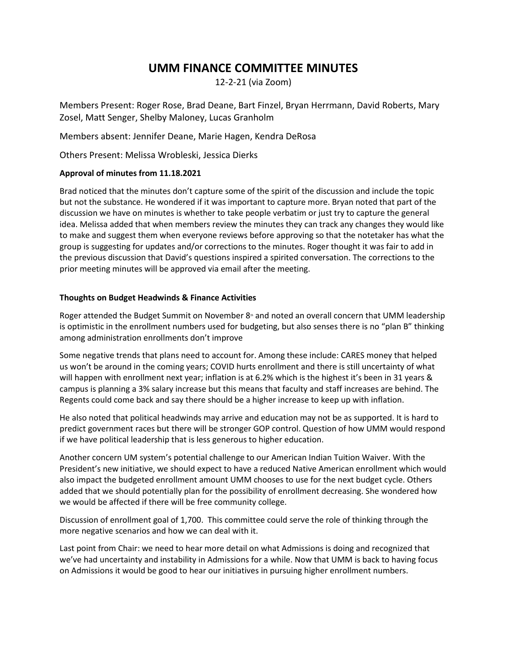## **UMM FINANCE COMMITTEE MINUTES**

12-2-21 (via Zoom)

Members Present: Roger Rose, Brad Deane, Bart Finzel, Bryan Herrmann, David Roberts, Mary Zosel, Matt Senger, Shelby Maloney, Lucas Granholm

Members absent: Jennifer Deane, Marie Hagen, Kendra DeRosa

Others Present: Melissa Wrobleski, Jessica Dierks

### **Approval of minutes from 11.18.2021**

Brad noticed that the minutes don't capture some of the spirit of the discussion and include the topic but not the substance. He wondered if it was important to capture more. Bryan noted that part of the discussion we have on minutes is whether to take people verbatim or just try to capture the general idea. Melissa added that when members review the minutes they can track any changes they would like to make and suggest them when everyone reviews before approving so that the notetaker has what the group is suggesting for updates and/or corrections to the minutes. Roger thought it was fair to add in the previous discussion that David's questions inspired a spirited conversation. The corrections to the prior meeting minutes will be approved via email after the meeting.

### **Thoughts on Budget Headwinds & Finance Activities**

Roger attended the Budget Summit on November 8<sup>th</sup> and noted an overall concern that UMM leadership is optimistic in the enrollment numbers used for budgeting, but also senses there is no "plan B" thinking among administration enrollments don't improve

Some negative trends that plans need to account for. Among these include: CARES money that helped us won't be around in the coming years; COVID hurts enrollment and there is still uncertainty of what will happen with enrollment next year; inflation is at 6.2% which is the highest it's been in 31 years & campus is planning a 3% salary increase but this means that faculty and staff increases are behind. The Regents could come back and say there should be a higher increase to keep up with inflation.

He also noted that political headwinds may arrive and education may not be as supported. It is hard to predict government races but there will be stronger GOP control. Question of how UMM would respond if we have political leadership that is less generous to higher education.

Another concern UM system's potential challenge to our American Indian Tuition Waiver. With the President's new initiative, we should expect to have a reduced Native American enrollment which would also impact the budgeted enrollment amount UMM chooses to use for the next budget cycle. Others added that we should potentially plan for the possibility of enrollment decreasing. She wondered how we would be affected if there will be free community college.

Discussion of enrollment goal of 1,700. This committee could serve the role of thinking through the more negative scenarios and how we can deal with it.

Last point from Chair: we need to hear more detail on what Admissions is doing and recognized that we've had uncertainty and instability in Admissions for a while. Now that UMM is back to having focus on Admissions it would be good to hear our initiatives in pursuing higher enrollment numbers.